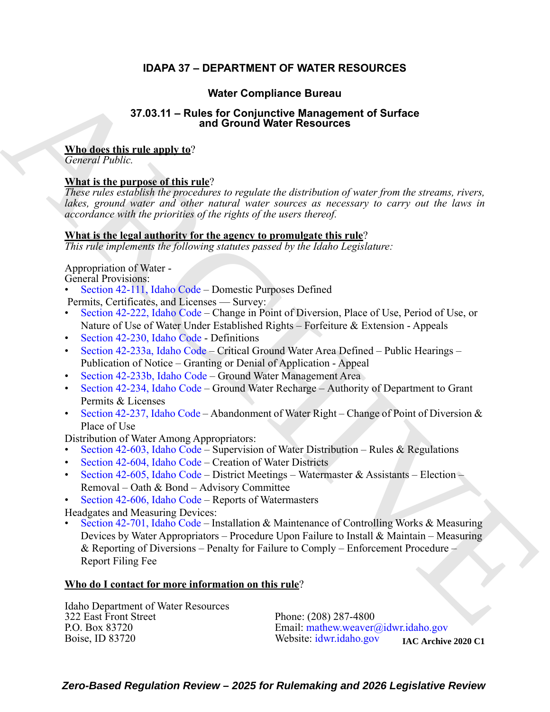### **IDAPA 37 – DEPARTMENT OF WATER RESOURCES**

### **Water Compliance Bureau**

## **37.03.11 – Rules for Conjunctive Management of Surface and Ground Water Resources**

### **Who does this rule apply to**?

*General Public.*

### **What is the purpose of this rule**?

*These rules establish the procedures to regulate the distribution of water from the streams, rivers, lakes, ground water and other natural water sources as necessary to carry out the laws in accordance with the priorities of the rights of the users thereof.*

### **What is the legal authority for the agency to promulgate this rule**?

*This rule implements the following statutes passed by the Idaho Legislature:*

Appropriation of Water -

General Provisions:

- Section 42-111, Idaho Code Domestic Purposes Defined Permits, Certificates, and Licenses — Survey:
- Section 42-222, Idaho Code Change in Point of Diversion, Place of Use, Period of Use, or Nature of Use of Water Under Established Rights – Forfeiture & Extension - Appeals
- Section 42-230, Idaho Code Definitions
- Section 42-233a, Idaho Code Critical Ground Water Area Defined Public Hearings Publication of Notice – Granting or Denial of Application - Appeal
- Section 42-233b, Idaho Code Ground Water Management Area
- Section 42-234, Idaho Code Ground Water Recharge Authority of Department to Grant Permits & Licenses
- Section 42-237, Idaho Code Abandonment of Water Right Change of Point of Diversion & Place of Use

Distribution of Water Among Appropriators:

- Section 42-603, Idaho Code Supervision of Water Distribution Rules & Regulations
- Section 42-604, Idaho Code Creation of Water Districts
- Section 42-605, Idaho Code District Meetings Watermaster & Assistants Election Removal – Oath & Bond – Advisory Committee
- Section 42-606, Idaho Code Reports of Watermasters

Headgates and Measuring Devices:

**SECULA[R](https://legislature.idaho.gov/statutesrules/idstat/Title42/T42CH1/SECT42-111/) [C](https://legislature.idaho.gov/statutesrules/idstat/Title42/T42CH2/SECT42-233a/)ONDUCT CONDUCT CONDUCT CONDUCT CONDUCT CONDUCT CONDUCT CONDUCT CONDUCT CONDUCT CONDUCT CONDUCT CONDUCT CONDUCT CONDUCT CONDUCT CONDUCT CONDUCT CONDUCT CONDUCT CONDUCT CONDUCT CONDUCT CONDUCT CONDUCT CONDUCT COND** • Section 42-701, Idaho Code – Installation & Maintenance of Controlling Works & Measuring Devices by Water Appropriators – Procedure Upon Failure to Install & Maintain – Measuring & Reporting of Diversions – Penalty for Failure to Comply – Enforcement Procedure – Report Filing Fee

### **Who do I contact for more information on this rule**?

Idaho Department of Water Resources 322 East Front Street Phone: (208) 287-4800<br>P.O. Box 83720 Email: mathew.weaver

P.O. Box 83720 Email: mathew.weaver@idwr.idaho.gov<br>Boise, ID 83720 Website: idwr.idaho.gov Website: [idwr.idaho.gov](https://.idwr.idaho.gov)

*Zero-Based Regulation Review – 2025 for Rulemaking and 2026 Legislative Review* **IAC Archive 2020 C1**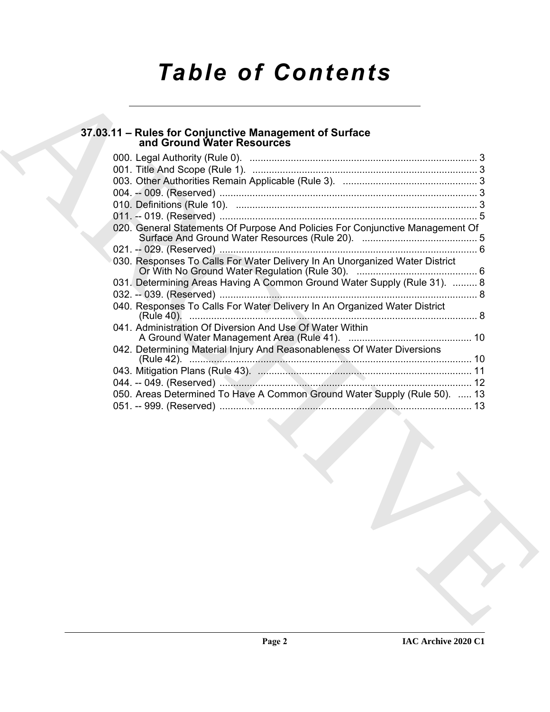# *Table of Contents*

# **37.03.11 – Rules for Conjunctive Management of Surface and Ground Water Resources**

| 37.03.11 - Rules for Conjunctive Management of Surface                        |
|-------------------------------------------------------------------------------|
| and Ground Water Resources                                                    |
|                                                                               |
|                                                                               |
|                                                                               |
|                                                                               |
|                                                                               |
| 020. General Statements Of Purpose And Policies For Conjunctive Management Of |
|                                                                               |
| 030. Responses To Calls For Water Delivery In An Unorganized Water District   |
| 031. Determining Areas Having A Common Ground Water Supply (Rule 31).  8      |
|                                                                               |
| 040. Responses To Calls For Water Delivery In An Organized Water District     |
| 041. Administration Of Diversion And Use Of Water Within                      |
|                                                                               |
| 042. Determining Material Injury And Reasonableness Of Water Diversions       |
|                                                                               |
|                                                                               |
| 050. Areas Determined To Have A Common Ground Water Supply (Rule 50).  13     |
|                                                                               |
|                                                                               |
|                                                                               |
|                                                                               |
|                                                                               |
|                                                                               |
|                                                                               |
|                                                                               |
|                                                                               |
|                                                                               |
|                                                                               |
|                                                                               |
|                                                                               |
|                                                                               |
|                                                                               |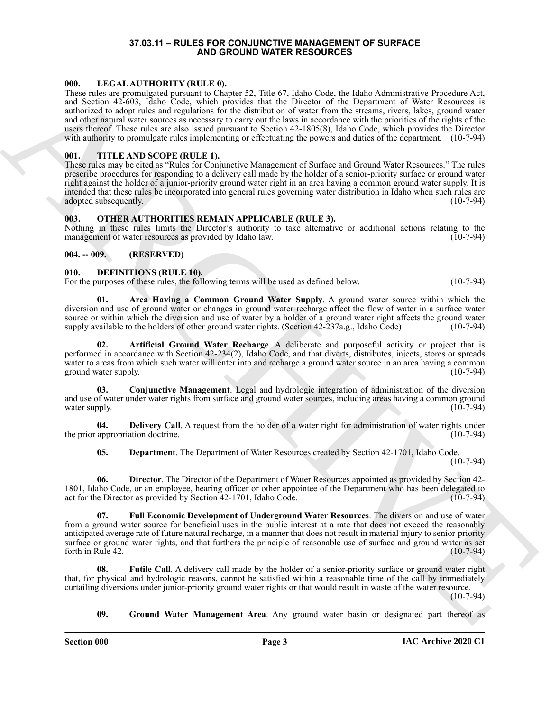#### **37.03.11 – RULES FOR CONJUNCTIVE MANAGEMENT OF SURFACE AND GROUND WATER RESOURCES**

#### <span id="page-2-16"></span><span id="page-2-1"></span><span id="page-2-0"></span>**000. LEGAL AUTHORITY (RULE 0).**

60. In the CAMPHOFICATION pair of the state of the black cost to be lead to detect the state of the cost of the state of the state of the state of the state of the state of the state of the state of the state of the state These rules are promulgated pursuant to Chapter 52, Title 67, Idaho Code, the Idaho Administrative Procedure Act, and Section 42-603, Idaho Code, which provides that the Director of the Department of Water Resources is authorized to adopt rules and regulations for the distribution of water from the streams, rivers, lakes, ground water and other natural water sources as necessary to carry out the laws in accordance with the priorities of the rights of the users thereof. These rules are also issued pursuant to Section 42-1805(8), Idaho Code, which provides the Director with authority to promulgate rules implementing or effectuating the powers and duties of the department. (10-7-94)

#### <span id="page-2-18"></span><span id="page-2-2"></span>**001. TITLE AND SCOPE (RULE 1).**

These rules may be cited as "Rules for Conjunctive Management of Surface and Ground Water Resources." The rules prescribe procedures for responding to a delivery call made by the holder of a senior-priority surface or ground water right against the holder of a junior-priority ground water right in an area having a common ground water supply. It is intended that these rules be incorporated into general rules governing water distribution in Idaho when such rules are adopted subsequently. (10-7-94)

#### <span id="page-2-17"></span><span id="page-2-3"></span>**003. OTHER AUTHORITIES REMAIN APPLICABLE (RULE 3).**

Nothing in these rules limits the Director's authority to take alternative or additional actions relating to the management of water resources as provided by Idaho law. (10-7-94)

#### <span id="page-2-4"></span>**004. -- 009. (RESERVED)**

#### <span id="page-2-6"></span><span id="page-2-5"></span>**010. DEFINITIONS (RULE 10).**

For the purposes of these rules, the following terms will be used as defined below. (10-7-94)

<span id="page-2-7"></span>**01. Area Having a Common Ground Water Supply**. A ground water source within which the diversion and use of ground water or changes in ground water recharge affect the flow of water in a surface water source or within which the diversion and use of water by a holder of a ground water right affects the ground water supply available to the holders of other ground water rights. (Section 42-237a.g., Idaho Code) (10-7-94)

<span id="page-2-8"></span>**02. Artificial Ground Water Recharge**. A deliberate and purposeful activity or project that is performed in accordance with Section 42-234(2), Idaho Code, and that diverts, distributes, injects, stores or spreads water to areas from which such water will enter into and recharge a ground water source in an area having a common ground water supply. (10-7-94)

<span id="page-2-9"></span>**03. Conjunctive Management**. Legal and hydrologic integration of administration of the diversion and use of water under water rights from surface and ground water sources, including areas having a common ground water supply.  $(10-7-94)$ 

**04. Delivery Call**. A request from the holder of a water right for administration of water rights under appropriation doctrine. (10-7-94) the prior appropriation doctrine.

<span id="page-2-13"></span><span id="page-2-12"></span><span id="page-2-11"></span><span id="page-2-10"></span>**05. Department**. The Department of Water Resources created by Section 42-1701, Idaho Code. (10-7-94)

**06. Director**. The Director of the Department of Water Resources appointed as provided by Section 42- 1801, Idaho Code, or an employee, hearing officer or other appointee of the Department who has been delegated to act for the Director as provided by Section 42-1701, Idaho Code. (10-7-94) act for the Director as provided by Section 42-1701, Idaho Code.

**07. Full Economic Development of Underground Water Resources**. The diversion and use of water from a ground water source for beneficial uses in the public interest at a rate that does not exceed the reasonably anticipated average rate of future natural recharge, in a manner that does not result in material injury to senior-priority surface or ground water rights, and that furthers the principle of reasonable use of surface and ground water as set forth in Rule 42. (10-7-94) forth in Rule  $42$ .

Futile Call. A delivery call made by the holder of a senior-priority surface or ground water right that, for physical and hydrologic reasons, cannot be satisfied within a reasonable time of the call by immediately curtailing diversions under junior-priority ground water rights or that would result in waste of the water resource. (10-7-94)

<span id="page-2-15"></span><span id="page-2-14"></span>**09. Ground Water Management Area**. Any ground water basin or designated part thereof as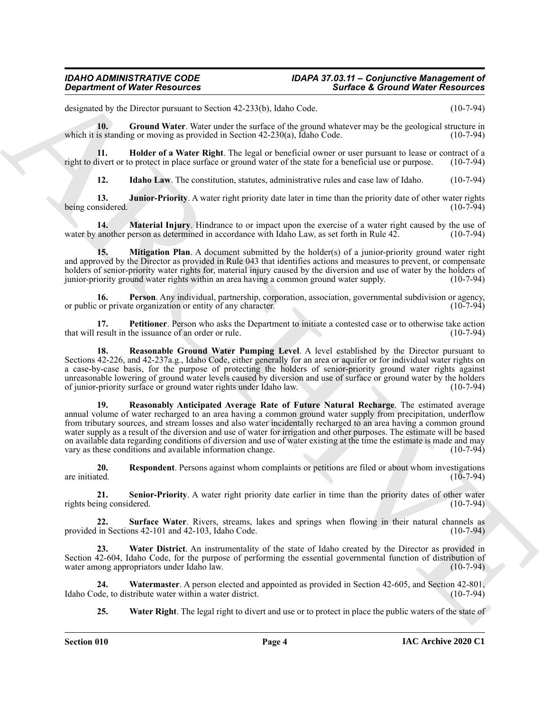designated by the Director pursuant to Section 42-233(b), Idaho Code. (10-7-94)

<span id="page-3-0"></span>**10.** Ground Water. Water under the surface of the ground whatever may be the geological structure in is standing or moving as provided in Section 42-230(a). Idaho Code. (10-7-94) which it is standing or moving as provided in Section  $42-230(a)$ , Idaho Code.

**11. Indider of a Water Right**. The legal or beneficial owner or user pursuant to lease or contract of a livert or to protect in place surface or ground water of the state for a beneficial use or purpose. (10-7-94) right to divert or to protect in place surface or ground water of the state for a beneficial use or purpose.

<span id="page-3-4"></span><span id="page-3-3"></span><span id="page-3-2"></span><span id="page-3-1"></span>**12.** Idaho Law, The constitution, statutes, administrative rules and case law of Idaho. (10-7-94)

**13. Junior-Priority**. A water right priority date later in time than the priority date of other water rights being considered. (10-7-94)

**14. Material Injury**. Hindrance to or impact upon the exercise of a water right caused by the use of water by another person as determined in accordance with Idaho Law, as set forth in Rule 42. (10-7-94)

<span id="page-3-5"></span>**15.** Mitigation Plan. A document submitted by the holder(s) of a junior-priority ground water right and approved by the Director as provided in Rule 043 that identifies actions and measures to prevent, or compensate holders of senior-priority water rights for, material injury caused by the diversion and use of water by the holders of junior-priority ground water rights within an area having a common ground water supply. (10-7-94)

<span id="page-3-6"></span>**16. Person**. Any individual, partnership, corporation, association, governmental subdivision or agency, or private organization or entity of any character. (10-7-94) or public or private organization or entity of any character.

<span id="page-3-7"></span>**17. Petitioner**. Person who asks the Department to initiate a contested case or to otherwise take action result in the issuance of an order or rule. (10-7-94) that will result in the issuance of an order or rule.

<span id="page-3-9"></span><span id="page-3-8"></span>**18. Reasonable Ground Water Pumping Level**. A level established by the Director pursuant to Sections 42-226, and 42-237a.g., Idaho Code, either generally for an area or aquifer or for individual water rights on a case-by-case basis, for the purpose of protecting the holders of senior-priority ground water rights against unreasonable lowering of ground water levels caused by diversion and use of surface or ground water by the holders of junior-priority surface or ground water rights under Idaho law. (10-7-94)

**Considered of Nickel Resources**<br>
Summark of Nickel Resources<br>
Summark of the Detection of Summark of Summark of Nickel Resources<br>
Summark of Nickel Resources<br>
Summark of Nickel Resources<br>
Summark of Nickel Resources<br>
Sum **19. Reasonably Anticipated Average Rate of Future Natural Recharge**. The estimated average annual volume of water recharged to an area having a common ground water supply from precipitation, underflow from tributary sources, and stream losses and also water incidentally recharged to an area having a common ground water supply as a result of the diversion and use of water for irrigation and other purposes. The estimate will be based on available data regarding conditions of diversion and use of water existing at the time the estimate is made and may vary as these conditions and available information change. (10-7-94)

<span id="page-3-10"></span>**20. Respondent**. Persons against whom complaints or petitions are filed or about whom investigations are initiated.  $(10-7-94)$ 

<span id="page-3-11"></span>**21. Senior-Priority**. A water right priority date earlier in time than the priority dates of other water rights being considered. (10-7-94)

<span id="page-3-12"></span>**22. Surface Water**. Rivers, streams, lakes and springs when flowing in their natural channels as provided in Sections 42-101 and 42-103, Idaho Code. (10-7-94)

<span id="page-3-13"></span>**23. Water District**. An instrumentality of the state of Idaho created by the Director as provided in Section 42-604, Idaho Code, for the purpose of performing the essential governmental function of distribution of water among appropriators under Idaho law. (10-7-94)

**24. Watermaster**. A person elected and appointed as provided in Section 42-605, and Section 42-801, Idaho Code, to distribute water within a water district.

<span id="page-3-15"></span><span id="page-3-14"></span>**25. Water Right**. The legal right to divert and use or to protect in place the public waters of the state of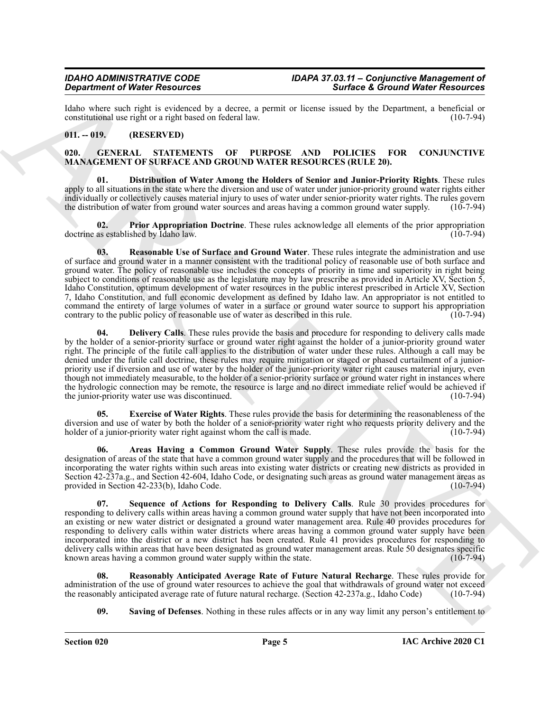Idaho where such right is evidenced by a decree, a permit or license issued by the Department, a beneficial or constitutional use right or a right based on federal law. constitutional use right or a right based on federal law.

#### <span id="page-4-0"></span>**011. -- 019. (RESERVED)**

#### <span id="page-4-2"></span><span id="page-4-1"></span>**020. GENERAL STATEMENTS OF PURPOSE AND POLICIES FOR CONJUNCTIVE MANAGEMENT OF SURFACE AND GROUND WATER RESOURCES (RULE 20).**

<span id="page-4-5"></span>**01. Distribution of Water Among the Holders of Senior and Junior-Priority Rights**. These rules apply to all situations in the state where the diversion and use of water under junior-priority ground water rights either individually or collectively causes material injury to uses of water under senior-priority water rights. The rules govern the distribution of water from ground water sources and areas having a common ground water supply. (10-7-94)

<span id="page-4-8"></span><span id="page-4-7"></span>**02. Prior Appropriation Doctrine**. These rules acknowledge all elements of the prior appropriation doctrine as established by Idaho law. (10-7-94)

**Starbers of New New York 200 and the Starbers of Granted Weller Human Research Control in the United New York 200 and the United New York 200 and the United New York 200 and the United New York 200 and the United New Yor 03. Reasonable Use of Surface and Ground Water**. These rules integrate the administration and use of surface and ground water in a manner consistent with the traditional policy of reasonable use of both surface and ground water. The policy of reasonable use includes the concepts of priority in time and superiority in right being subject to conditions of reasonable use as the legislature may by law prescribe as provided in Article XV, Section 5, Idaho Constitution, optimum development of water resources in the public interest prescribed in Article XV, Section 7, Idaho Constitution, and full economic development as defined by Idaho law. An appropriator is not entitled to command the entirety of large volumes of water in a surface or ground water source to support his appropriation contrary to the public policy of reasonable use of water as described in this rule. (10-7-94)

<span id="page-4-4"></span>**04. Delivery Calls**. These rules provide the basis and procedure for responding to delivery calls made by the holder of a senior-priority surface or ground water right against the holder of a junior-priority ground water right. The principle of the futile call applies to the distribution of water under these rules. Although a call may be denied under the futile call doctrine, these rules may require mitigation or staged or phased curtailment of a juniorpriority use if diversion and use of water by the holder of the junior-priority water right causes material injury, even though not immediately measurable, to the holder of a senior-priority surface or ground water right in instances where the hydrologic connection may be remote, the resource is large and no direct immediate relief would be achieved if the junior-priority water use was discontinued. (10-7-94)

<span id="page-4-6"></span>**05. Exercise of Water Rights**. These rules provide the basis for determining the reasonableness of the diversion and use of water by both the holder of a senior-priority water right who requests priority delivery and the holder of a junior-priority water right against whom the call is made. (10-7-94) holder of a junior-priority water right against whom the call is made.

<span id="page-4-3"></span>Areas Having a Common Ground Water Supply. These rules provide the basis for the designation of areas of the state that have a common ground water supply and the procedures that will be followed in incorporating the water rights within such areas into existing water districts or creating new districts as provided in Section 42-237a.g., and Section 42-604, Idaho Code, or designating such areas as ground water management areas as provided in Section 42-233(b), Idaho Code. (10-7-94)

<span id="page-4-11"></span>**07. Sequence of Actions for Responding to Delivery Calls**. Rule 30 provides procedures for responding to delivery calls within areas having a common ground water supply that have not been incorporated into an existing or new water district or designated a ground water management area. Rule 40 provides procedures for responding to delivery calls within water districts where areas having a common ground water supply have been incorporated into the district or a new district has been created. Rule 41 provides procedures for responding to delivery calls within areas that have been designated as ground water management areas. Rule 50 designates specific known areas having a common ground water supply within the state. (10-7-94)

**08. Reasonably Anticipated Average Rate of Future Natural Recharge**. These rules provide for administration of the use of ground water resources to achieve the goal that withdrawals of ground water not exceed<br>the reasonably anticipated average rate of future natural recharge. (Section 42-237a.g., Idaho Code) (10-7 the reasonably anticipated average rate of future natural recharge. (Section 42-237a.g., Idaho Code)

<span id="page-4-10"></span><span id="page-4-9"></span>**09.** Saving of Defenses. Nothing in these rules affects or in any way limit any person's entitlement to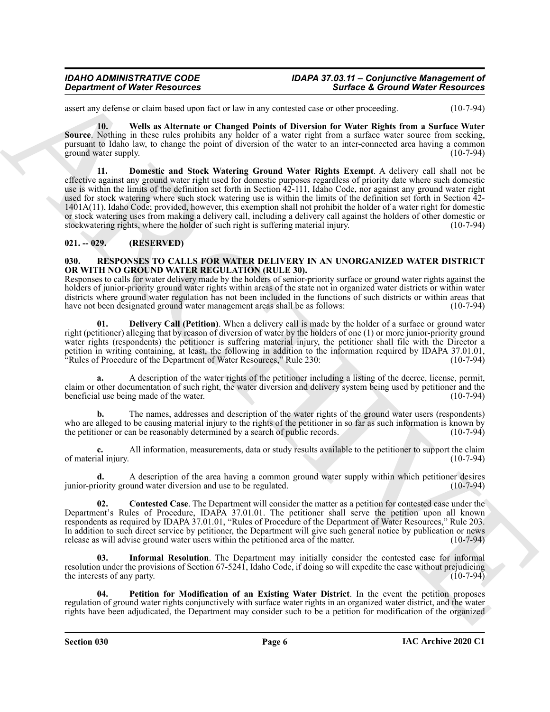assert any defense or claim based upon fact or law in any contested case or other proceeding. (10-7-94)

<span id="page-5-3"></span><span id="page-5-2"></span>**10. Wells as Alternate or Changed Points of Diversion for Water Rights from a Surface Water Source**. Nothing in these rules prohibits any holder of a water right from a surface water source from seeking, pursuant to Idaho law, to change the point of diversion of the water to an inter-connected area having a common ground water supply. (10-7-94)

**State of Weight Newsletter State the numerical State of Ground Weigh Resources<br>
State of Ground Weigh Resources<br>
State of Ground Weigh Resources<br>
State of the Northern Company Resources<br>
State of the Northern Company Res 11. Domestic and Stock Watering Ground Water Rights Exempt**. A delivery call shall not be effective against any ground water right used for domestic purposes regardless of priority date where such domestic use is within the limits of the definition set forth in Section 42-111, Idaho Code, nor against any ground water right used for stock watering where such stock watering use is within the limits of the definition set forth in Section 42- 1401A(11), Idaho Code; provided, however, this exemption shall not prohibit the holder of a water right for domestic or stock watering uses from making a delivery call, including a delivery call against the holders of other domestic or stockwatering rights, where the holder of such right is suffering material injury. (10-7-94)

#### <span id="page-5-0"></span>**021. -- 029. (RESERVED)**

#### <span id="page-5-4"></span><span id="page-5-1"></span>**030. RESPONSES TO CALLS FOR WATER DELIVERY IN AN UNORGANIZED WATER DISTRICT OR WITH NO GROUND WATER REGULATION (RULE 30).**

Responses to calls for water delivery made by the holders of senior-priority surface or ground water rights against the holders of junior-priority ground water rights within areas of the state not in organized water districts or within water districts where ground water regulation has not been included in the functions of such districts or within areas that have not been designated ground water management areas shall be as follows: (10-7-94) have not been designated ground water management areas shall be as follows:

<span id="page-5-6"></span>**01. Delivery Call (Petition)**. When a delivery call is made by the holder of a surface or ground water right (petitioner) alleging that by reason of diversion of water by the holders of one (1) or more junior-priority ground water rights (respondents) the petitioner is suffering material injury, the petitioner shall file with the Director a petition in writing containing, at least, the following in addition to the information required by IDAPA 37.01.01, "Rules of Procedure of the Department of Water Resources," Rule 230: (10-7-94)

**a.** A description of the water rights of the petitioner including a listing of the decree, license, permit, claim or other documentation of such right, the water diversion and delivery system being used by petitioner and the beneficial use being made of the water. (10-7-94)

**b.** The names, addresses and description of the water rights of the ground water users (respondents) who are alleged to be causing material injury to the rights of the petitioner in so far as such information is known by the petitioner or can be reasonably determined by a search of public records. (10-7-94) the petitioner or can be reasonably determined by a search of public records.

All information, measurements, data or study results available to the petitioner to support the claim<br>(10-7-94) of material injury.

**d.** A description of the area having a common ground water supply within which petitioner desires junior-priority ground water diversion and use to be regulated. (10-7-94)

<span id="page-5-5"></span>**02. Contested Case**. The Department will consider the matter as a petition for contested case under the Department's Rules of Procedure, IDAPA 37.01.01. The petitioner shall serve the petition upon all known respondents as required by IDAPA 37.01.01, "Rules of Procedure of the Department of Water Resources," Rule 203. In addition to such direct service by petitioner, the Department will give such general notice by publication or news release as will advise ground water users within the petitioned area of the matter. (10-7-94) release as will advise ground water users within the petitioned area of the matter.

<span id="page-5-7"></span>**03. Informal Resolution**. The Department may initially consider the contested case for informal resolution under the provisions of Section 67-5241, Idaho Code, if doing so will expedite the case without prejudicing the interests of any party. (10-7-94)

<span id="page-5-8"></span>**04. Petition for Modification of an Existing Water District**. In the event the petition proposes regulation of ground water rights conjunctively with surface water rights in an organized water district, and the water rights have been adjudicated, the Department may consider such to be a petition for modification of the organized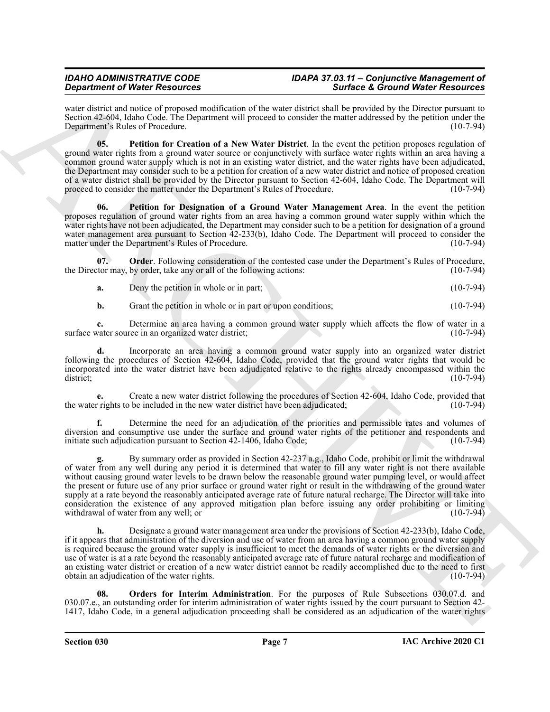water district and notice of proposed modification of the water district shall be provided by the Director pursuant to Section 42-604, Idaho Code. The Department will proceed to consider the matter addressed by the petition under the Department's Rules of Procedure. (10-7-94)

<span id="page-6-2"></span>**05. Petition for Creation of a New Water District**. In the event the petition proposes regulation of ground water rights from a ground water source or conjunctively with surface water rights within an area having a common ground water supply which is not in an existing water district, and the water rights have been adjudicated, the Department may consider such to be a petition for creation of a new water district and notice of proposed creation of a water district shall be provided by the Director pursuant to Section 42-604, Idaho Code. The Department will proceed to consider the matter under the Department's Rules of Procedure. (10-7-94)

<span id="page-6-3"></span>**06. Petition for Designation of a Ground Water Management Area**. In the event the petition proposes regulation of ground water rights from an area having a common ground water supply within which the water rights have not been adjudicated, the Department may consider such to be a petition for designation of a ground water management area pursuant to Section 42-233(b), Idaho Code. The Department will proceed to consider the matter under the Department's Rules of Procedure. (10-7-94)

**07. Order**. Following consideration of the contested case under the Department's Rules of Procedure, the Director may, by order, take any or all of the following actions: (10-7-94)

<span id="page-6-0"></span>**a.** Deny the petition in whole or in part; (10-7-94)

**b.** Grant the petition in whole or in part or upon conditions; (10-7-94)

**c.** Determine an area having a common ground water supply which affects the flow of water in a vater source in an organized water district: (10-7-94) surface water source in an organized water district;

**d.** Incorporate an area having a common ground water supply into an organized water district following the procedures of Section 42-604, Idaho Code, provided that the ground water rights that would be incorporated into the water district have been adjudicated relative to the rights already encompassed within the district; (10-7-94)

**e.** Create a new water district following the procedures of Section 42-604, Idaho Code, provided that the water rights to be included in the new water district have been adjudicated; (10-7-94)

**f.** Determine the need for an adjudication of the priorities and permissible rates and volumes of diversion and consumptive use under the surface and ground water rights of the petitioner and respondents and initiate such adjudication pursuant to Section 42-1406, Idaho Code; (10-7-94)

Graduation of Water Resources and the state state and the state of Graduation state and the state of School Mathematical State State State State State State State State State State State State State State State State Stat **g.** By summary order as provided in Section 42-237 a.g., Idaho Code, prohibit or limit the withdrawal of water from any well during any period it is determined that water to fill any water right is not there available without causing ground water levels to be drawn below the reasonable ground water pumping level, or would affect the present or future use of any prior surface or ground water right or result in the withdrawing of the ground water supply at a rate beyond the reasonably anticipated average rate of future natural recharge. The Director will take into consideration the existence of any approved mitigation plan before issuing any order prohibiting or limiting withdrawal of water from any well; or (10-7-94) withdrawal of water from any well; or

**h.** Designate a ground water management area under the provisions of Section 42-233(b), Idaho Code, if it appears that administration of the diversion and use of water from an area having a common ground water supply is required because the ground water supply is insufficient to meet the demands of water rights or the diversion and use of water is at a rate beyond the reasonably anticipated average rate of future natural recharge and modification of an existing water district or creation of a new water district cannot be readily accomplished due to the need to first obtain an adjudication of the water rights. (10-7-94)

<span id="page-6-1"></span>**08. Orders for Interim Administration**. For the purposes of Rule Subsections 030.07.d. and 030.07.e., an outstanding order for interim administration of water rights issued by the court pursuant to Section 42- 1417, Idaho Code, in a general adjudication proceeding shall be considered as an adjudication of the water rights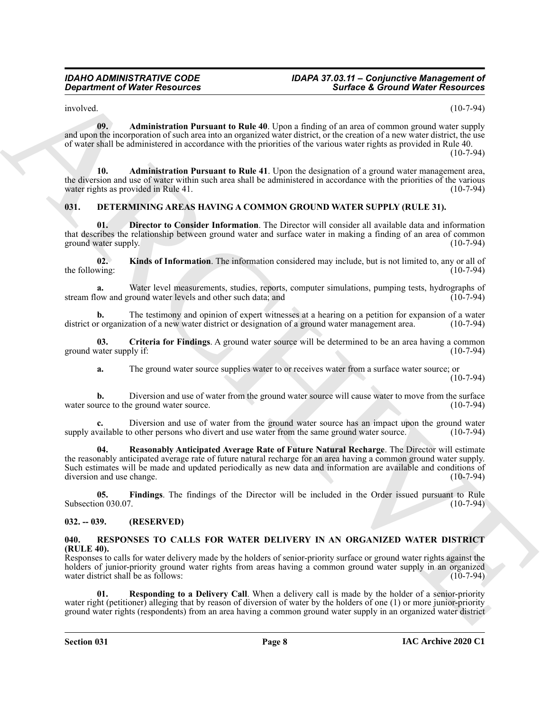<span id="page-7-11"></span> $involved.$  (10-7-94)

**09. Administration Pursuant to Rule 40**. Upon a finding of an area of common ground water supply and upon the incorporation of such area into an organized water district, or the creation of a new water district, the use of water shall be administered in accordance with the priorities of the various water rights as provided in Rule 40.

(10-7-94)

<span id="page-7-12"></span>**10. Administration Pursuant to Rule 41**. Upon the designation of a ground water management area, the diversion and use of water within such area shall be administered in accordance with the priorities of the various water rights as provided in Rule 41. (10-7-94)

### <span id="page-7-3"></span><span id="page-7-0"></span>**031. DETERMINING AREAS HAVING A COMMON GROUND WATER SUPPLY (RULE 31).**

<span id="page-7-5"></span>**01. Director to Consider Information**. The Director will consider all available data and information that describes the relationship between ground water and surface water in making a finding of an area of common ground water supply. (10-7-94) ground water supply.

<span id="page-7-7"></span>**02. Kinds of Information**. The information considered may include, but is not limited to, any or all of the following:  $(10-7-94)$ 

**a.** Water level measurements, studies, reports, computer simulations, pumping tests, hydrographs of ow and ground water levels and other such data; and (10-7-94) stream flow and ground water levels and other such data; and

**b.** The testimony and opinion of expert witnesses at a hearing on a petition for expansion of a water district or organization of a new water district or designation of a ground water management area. (10-7-94)

**03.** Criteria for Findings. A ground water source will be determined to be an area having a common vater supply if: (10-7-94) ground water supply if:

<span id="page-7-4"></span>**a.** The ground water source supplies water to or receives water from a surface water source; or

(10-7-94)

**b.** Diversion and use of water from the ground water source will cause water to move from the surface urce to the ground water source. (10-7-94) water source to the ground water source.

<span id="page-7-8"></span>**c.** Diversion and use of water from the ground water source has an impact upon the ground water vailable to other persons who divert and use water from the same ground water source. (10-7-94) supply available to other persons who divert and use water from the same ground water source.

**Considered of Water Resources**<br>
The main of Mathematical Parameter Rotate del Topo a finite gel an anciet consequence in the spin of the spin of the spin of the spin of the spin of the spin of the spin of the spin of the **04. Reasonably Anticipated Average Rate of Future Natural Recharge**. The Director will estimate the reasonably anticipated average rate of future natural recharge for an area having a common ground water supply. Such estimates will be made and updated periodically as new data and information are available and conditions of diversion and use change. (10-7-94)

<span id="page-7-6"></span>**05. Findings**. The findings of the Director will be included in the Order issued pursuant to Rule Subsection 030.07. (10-7-94)

#### <span id="page-7-1"></span>**032. -- 039. (RESERVED)**

#### <span id="page-7-9"></span><span id="page-7-2"></span>**040. RESPONSES TO CALLS FOR WATER DELIVERY IN AN ORGANIZED WATER DISTRICT (RULE 40).**

Responses to calls for water delivery made by the holders of senior-priority surface or ground water rights against the holders of junior-priority ground water rights from areas having a common ground water supply in an organized water district shall be as follows: (10-7-94) water district shall be as follows:

<span id="page-7-10"></span>**01. Responding to a Delivery Call**. When a delivery call is made by the holder of a senior-priority water right (petitioner) alleging that by reason of diversion of water by the holders of one (1) or more junior-priority ground water rights (respondents) from an area having a common ground water supply in an organized water district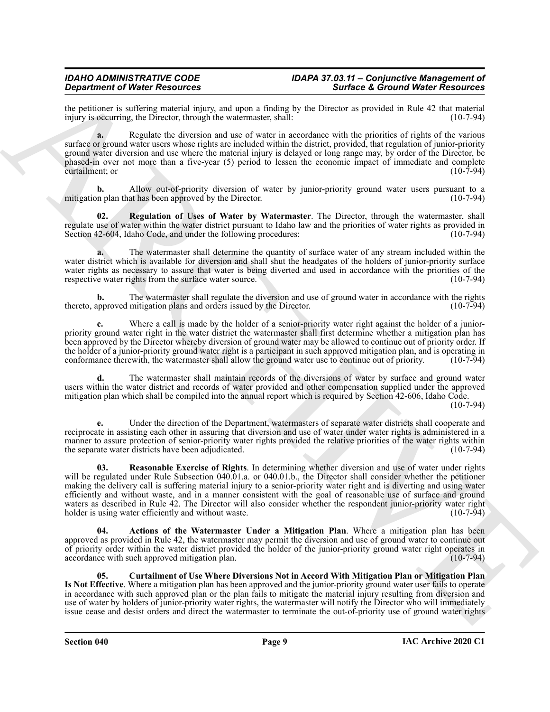the petitioner is suffering material injury, and upon a finding by the Director as provided in Rule 42 that material injury is occurring, the Director, through the watermaster, shall: (10-7-94) injury is occurring, the Director, through the watermaster, shall:

**a.** Regulate the diversion and use of water in accordance with the priorities of rights of the various surface or ground water users whose rights are included within the district, provided, that regulation of junior-priority ground water diversion and use where the material injury is delayed or long range may, by order of the Director, be phased-in over not more than a five-year (5) period to lessen the economic impact of immediate and complete  $\alpha$  curtailment; or  $(10\text{-}7\text{-}94)$ 

Allow out-of-priority diversion of water by junior-priority ground water users pursuant to a at has been approved by the Director. (10-7-94) mitigation plan that has been approved by the Director.

<span id="page-8-3"></span>**02. Regulation of Uses of Water by Watermaster**. The Director, through the watermaster, shall regulate use of water within the water district pursuant to Idaho law and the priorities of water rights as provided in Section 42-604, Idaho Code, and under the following procedures: (10-7-94)

**a.** The watermaster shall determine the quantity of surface water of any stream included within the water district which is available for diversion and shall shut the headgates of the holders of junior-priority surface water rights as necessary to assure that water is being diverted and used in accordance with the priorities of the respective water rights from the surface water source. (10-7-94) respective water rights from the surface water source.

**b.** The watermaster shall regulate the diversion and use of ground water in accordance with the rights approved mitigation plans and orders issued by the Director. (10-7-94) thereto, approved mitigation plans and orders issued by the Director.

**c.** Where a call is made by the holder of a senior-priority water right against the holder of a juniorpriority ground water right in the water district the watermaster shall first determine whether a mitigation plan has been approved by the Director whereby diversion of ground water may be allowed to continue out of priority order. If the holder of a junior-priority ground water right is a participant in such approved mitigation plan, and is operating in conformance therewith, the watermaster shall allow the ground water use to continue out of priority. (10-7-94)

**d.** The watermaster shall maintain records of the diversions of water by surface and ground water users within the water district and records of water provided and other compensation supplied under the approved mitigation plan which shall be compiled into the annual report which is required by Section 42-606, Idaho Code.

(10-7-94)

<span id="page-8-2"></span>**e.** Under the direction of the Department, watermasters of separate water districts shall cooperate and reciprocate in assisting each other in assuring that diversion and use of water under water rights is administered in a manner to assure protection of senior-priority water rights provided the relative priorities of the water rights within the separate water districts have been adjudicated. (10-7-94)

**Depertement of New Associates and Source and New Associates and New Associates and New Associates and New Associates and New Associates and New Associates and New Associates and New Associates and New Associates and New 03. Reasonable Exercise of Rights**. In determining whether diversion and use of water under rights will be regulated under Rule Subsection 040.01.a. or 040.01.b., the Director shall consider whether the petitioner making the delivery call is suffering material injury to a senior-priority water right and is diverting and using water efficiently and without waste, and in a manner consistent with the goal of reasonable use of surface and ground waters as described in Rule 42. The Director will also consider whether the respondent junior-priority water right holder is using water efficiently and without waste. (10-7-94) holder is using water efficiently and without waste.

<span id="page-8-0"></span>**04. Actions of the Watermaster Under a Mitigation Plan**. Where a mitigation plan has been approved as provided in Rule 42, the watermaster may permit the diversion and use of ground water to continue out of priority order within the water district provided the holder of the junior-priority ground water right operates in accordance with such approved mitigation plan. (10-7-94)

<span id="page-8-1"></span>**05. Curtailment of Use Where Diversions Not in Accord With Mitigation Plan or Mitigation Plan Is Not Effective**. Where a mitigation plan has been approved and the junior-priority ground water user fails to operate in accordance with such approved plan or the plan fails to mitigate the material injury resulting from diversion and use of water by holders of junior-priority water rights, the watermaster will notify the Director who will immediately issue cease and desist orders and direct the watermaster to terminate the out-of-priority use of ground water rights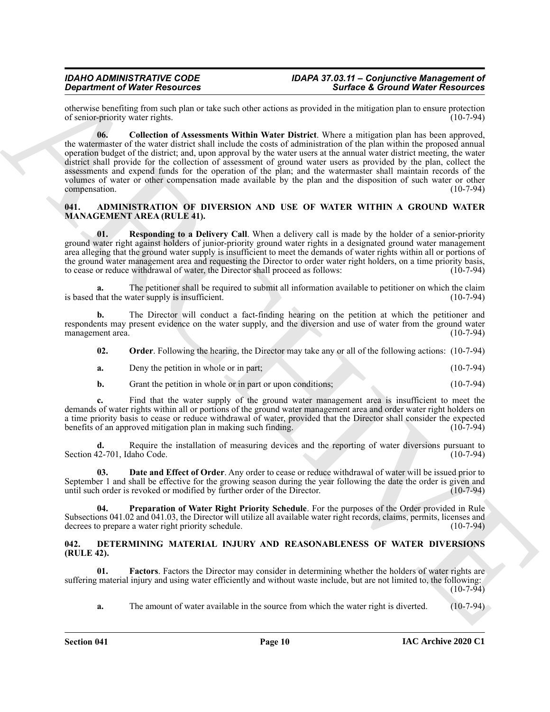<span id="page-9-9"></span>otherwise benefiting from such plan or take such other actions as provided in the mitigation plan to ensure protection of senior-priority water rights.

**Starboot O'Realized Alternatives and Starboot Schwarz Starboot O'Realized Alternatives Actions 2018<br>
Starboot Alternative Schwarz Starboot Schwarz Starboot Schwarz Starboot Schwarz Starboot Schwarz Starboot Schwarz Starb 06. Collection of Assessments Within Water District**. Where a mitigation plan has been approved, the watermaster of the water district shall include the costs of administration of the plan within the proposed annual operation budget of the district; and, upon approval by the water users at the annual water district meeting, the water district shall provide for the collection of assessment of ground water users as provided by the plan, collect the assessments and expend funds for the operation of the plan; and the watermaster shall maintain records of the volumes of water or other compensation made available by the plan and the disposition of such water or other compensation. (10-7-94)

#### <span id="page-9-2"></span><span id="page-9-0"></span>**041. ADMINISTRATION OF DIVERSION AND USE OF WATER WITHIN A GROUND WATER MANAGEMENT AREA (RULE 41).**

<span id="page-9-6"></span>**01.** Responding to a Delivery Call. When a delivery call is made by the holder of a senior-priority ground water right against holders of junior-priority ground water rights in a designated ground water management area alleging that the ground water supply is insufficient to meet the demands of water rights within all or portions of the ground water management area and requesting the Director to order water right holders, on a time priority basis, to cease or reduce withdrawal of water, the Director shall proceed as follows: (10-7-94)

**a.** The petitioner shall be required to submit all information available to petitioner on which the claim that the water supply is insufficient. (10-7-94) is based that the water supply is insufficient.

**b.** The Director will conduct a fact-finding hearing on the petition at which the petitioner and respondents may present evidence on the water supply, and the diversion and use of water from the ground water management area. (10-7-94) management area.

<span id="page-9-4"></span>

| 02. |  |  | <b>Order</b> . Following the hearing, the Director may take any or all of the following actions: (10-7-94) |  |
|-----|--|--|------------------------------------------------------------------------------------------------------------|--|
|-----|--|--|------------------------------------------------------------------------------------------------------------|--|

| Deny the petition in whole or in part: |  | $(10-7-94)$ |
|----------------------------------------|--|-------------|
|                                        |  |             |

**b.** Grant the petition in whole or in part or upon conditions; (10-7-94)

Find that the water supply of the ground water management area is insufficient to meet the demands of water rights within all or portions of the ground water management area and order water right holders on a time priority basis to cease or reduce withdrawal of water, provided that the Director shall consider the expected<br>benefits of an approved mitigation plan in making such finding. (10-7-94) benefits of an approved mitigation plan in making such finding.

**d.** Require the installation of measuring devices and the reporting of water diversions pursuant to  $12-701$ , Idaho Code. (10-7-94) Section 42-701, Idaho Code.

<span id="page-9-3"></span>**Date and Effect of Order**. Any order to cease or reduce withdrawal of water will be issued prior to September 1 and shall be effective for the growing season during the year following the date the order is given and until such order is revoked or modified by further order of the Director. (10-7-94)

<span id="page-9-5"></span>**04. Preparation of Water Right Priority Schedule**. For the purposes of the Order provided in Rule Subsections 041.02 and 041.03, the Director will utilize all available water right records, claims, permits, licenses and decrees to prepare a water right priority schedule. (10-7-94)

#### <span id="page-9-7"></span><span id="page-9-1"></span>**042. DETERMINING MATERIAL INJURY AND REASONABLENESS OF WATER DIVERSIONS (RULE 42).**

**01. Factors**. Factors the Director may consider in determining whether the holders of water rights are suffering material injury and using water efficiently and without waste include, but are not limited to, the following:  $(10-7-94)$ 

<span id="page-9-8"></span>**a.** The amount of water available in the source from which the water right is diverted. (10-7-94)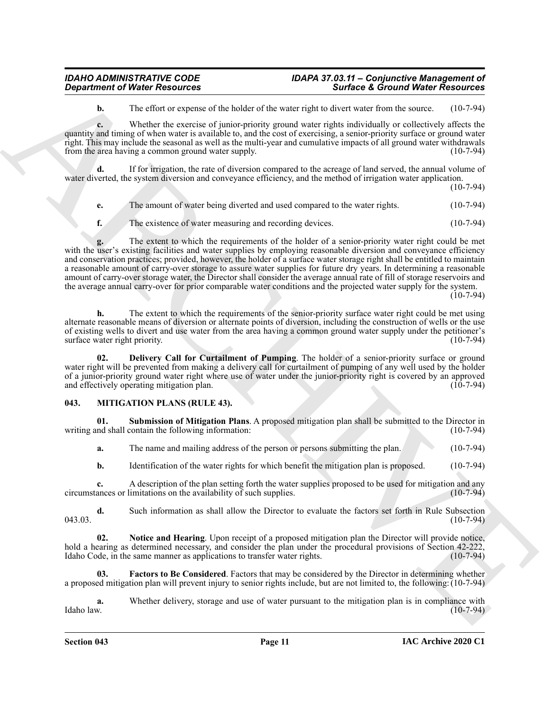## *IDAHO ADMINISTRATIVE CODE IDAPA 37.03.11 – Conjunctive Management of*

## *Department of Water Resources Surface & Ground Water Resources*

**b.** The effort or expense of the holder of the water right to divert water from the source. (10-7-94)

**c.** Whether the exercise of junior-priority ground water rights individually or collectively affects the quantity and timing of when water is available to, and the cost of exercising, a senior-priority surface or ground water right. This may include the seasonal as well as the multi-year and cumulative impacts of all ground water withdrawals from the area having a common ground water supply. (10-7-94)

**d.** If for irrigation, the rate of diversion compared to the acreage of land served, the annual volume of water diverted, the system diversion and conveyance efficiency, and the method of irrigation water application.

(10-7-94)

- **e.** The amount of water being diverted and used compared to the water rights. (10-7-94)
- **f.** The existence of water measuring and recording devices. (10-7-94)

*Department of Water Resources*<br> **A** the client of experiment of the husker of lac wave range and to show the set and so the client of the client of the client of the control of the control of the control of the control **g.** The extent to which the requirements of the holder of a senior-priority water right could be met with the user's existing facilities and water supplies by employing reasonable diversion and conveyance efficiency and conservation practices; provided, however, the holder of a surface water storage right shall be entitled to maintain a reasonable amount of carry-over storage to assure water supplies for future dry years. In determining a reasonable amount of carry-over storage water, the Director shall consider the average annual rate of fill of storage reservoirs and the average annual carry-over for prior comparable water conditions and the projected water supply for the system.  $(10-7-94)$ 

**h.** The extent to which the requirements of the senior-priority surface water right could be met using alternate reasonable means of diversion or alternate points of diversion, including the construction of wells or the use of existing wells to divert and use water from the area having a common ground water supply under the petitioner's surface water right priority.

<span id="page-10-1"></span>**02. Delivery Call for Curtailment of Pumping**. The holder of a senior-priority surface or ground water right will be prevented from making a delivery call for curtailment of pumping of any well used by the holder of a junior-priority ground water right where use of water under the junior-priority right is covered by an approved and effectively operating mitigation plan. (10-7-94) and effectively operating mitigation plan.

#### <span id="page-10-2"></span><span id="page-10-0"></span>**043. MITIGATION PLANS (RULE 43).**

**01. Submission of Mitigation Plans**. A proposed mitigation plan shall be submitted to the Director in and shall contain the following information: (10-7-94) writing and shall contain the following information:

<span id="page-10-5"></span>**a.** The name and mailing address of the person or persons submitting the plan. (10-7-94)

**b.** Identification of the water rights for which benefit the mitigation plan is proposed. (10-7-94)

**c.** A description of the plan setting forth the water supplies proposed to be used for mitigation and any circumstances or limitations on the availability of such supplies. (10-7-94)

**d.** Such information as shall allow the Director to evaluate the factors set forth in Rule Subsection 043.03. (10-7-94)

<span id="page-10-4"></span>**02. Notice and Hearing**. Upon receipt of a proposed mitigation plan the Director will provide notice, hold a hearing as determined necessary, and consider the plan under the procedural provisions of Section 42-222, Idaho Code, in the same manner as applications to transfer water rights. (10-7-94) Idaho Code, in the same manner as applications to transfer water rights.

<span id="page-10-3"></span>**03. Factors to Be Considered**. Factors that may be considered by the Director in determining whether a proposed mitigation plan will prevent injury to senior rights include, but are not limited to, the following: (10-7-94)

**a.** Whether delivery, storage and use of water pursuant to the mitigation plan is in compliance with Idaho law. (10-7-94) Idaho law. (10-7-94)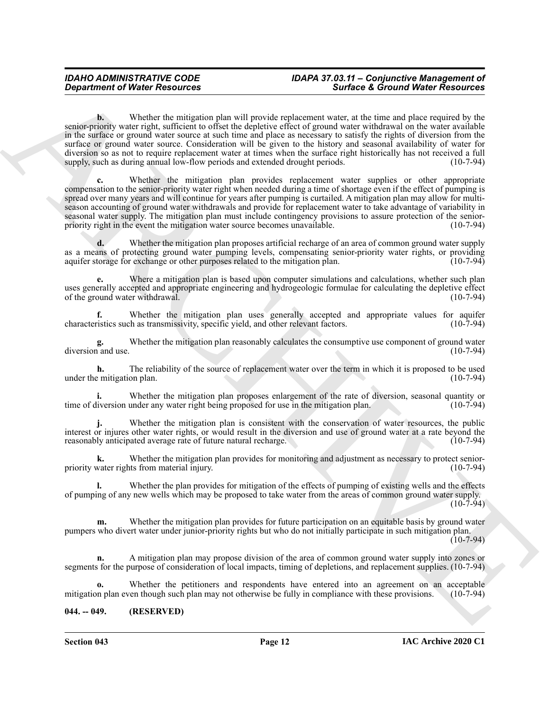*Great free of Water Resources*<br> **Consider the station pair will provide represent the consideration of the stationary and the stationary and the stationary and the stationary and the stationary and the stationary and t b.** Whether the mitigation plan will provide replacement water, at the time and place required by the senior-priority water right, sufficient to offset the depletive effect of ground water withdrawal on the water available in the surface or ground water source at such time and place as necessary to satisfy the rights of diversion from the surface or ground water source. Consideration will be given to the history and seasonal availability of water for diversion so as not to require replacement water at times when the surface right historically has not received a full supply, such as during annual low-flow periods and extended drought periods. (10-7-94) supply, such as during annual low-flow periods and extended drought periods.

**c.** Whether the mitigation plan provides replacement water supplies or other appropriate compensation to the senior-priority water right when needed during a time of shortage even if the effect of pumping is spread over many years and will continue for years after pumping is curtailed. A mitigation plan may allow for multiseason accounting of ground water withdrawals and provide for replacement water to take advantage of variability in seasonal water supply. The mitigation plan must include contingency provisions to assure protection of the seniorpriority right in the event the mitigation water source becomes unavailable. (10-7-94)

**d.** Whether the mitigation plan proposes artificial recharge of an area of common ground water supply as a means of protecting ground water pumping levels, compensating senior-priority water rights, or providing aquifer storage for exchange or other purposes related to the mitigation plan. (10-7-94)

**e.** Where a mitigation plan is based upon computer simulations and calculations, whether such plan uses generally accepted and appropriate engineering and hydrogeologic formulae for calculating the depletive effect<br>of the ground water withdrawal. (10-7-94) of the ground water withdrawal.

**f.** Whether the mitigation plan uses generally accepted and appropriate values for aquifer characteristics such as transmissivity, specific yield, and other relevant factors. (10-7-94)

**g.** Whether the mitigation plan reasonably calculates the consumptive use component of ground water and use. (10-7-94) diversion and use.

**h.** The reliability of the source of replacement water over the term in which it is proposed to be used remitigation plan. (10-7-94) under the mitigation plan.

**i.** Whether the mitigation plan proposes enlargement of the rate of diversion, seasonal quantity or time of diversion under any water right being proposed for use in the mitigation plan. (10-7-94)

Whether the mitigation plan is consistent with the conservation of water resources, the public interest or injures other water rights, or would result in the diversion and use of ground water at a rate beyond the reasonably anticipated average rate of future natural recharge.

**k.** Whether the mitigation plan provides for monitoring and adjustment as necessary to protect seniorpriority water rights from material injury. (10-7-94)

**l.** Whether the plan provides for mitigation of the effects of pumping of existing wells and the effects of pumping of any new wells which may be proposed to take water from the areas of common ground water supply. (10-7-94)

**m.** Whether the mitigation plan provides for future participation on an equitable basis by ground water pumpers who divert water under junior-priority rights but who do not initially participate in such mitigation plan.

 $(10-7-94)$ 

**n.** A mitigation plan may propose division of the area of common ground water supply into zones or segments for the purpose of consideration of local impacts, timing of depletions, and replacement supplies. (10-7-94)

Whether the petitioners and respondents have entered into an agreement on an acceptable ven though such plan may not otherwise be fully in compliance with these provisions. (10-7-94) mitigation plan even though such plan may not otherwise be fully in compliance with these provisions.

#### <span id="page-11-0"></span>**044. -- 049. (RESERVED)**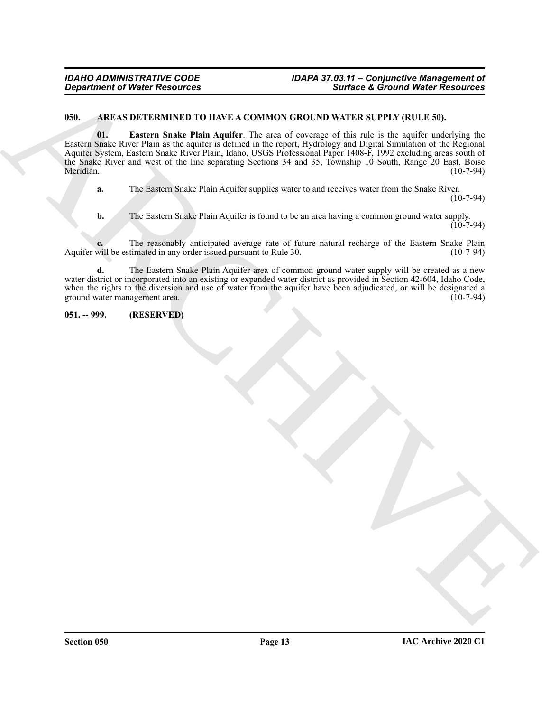#### <span id="page-12-3"></span><span id="page-12-2"></span><span id="page-12-0"></span>**050. AREAS DETERMINED TO HAVE A COMMON GROUND WATER SUPPLY (RULE 50).**

Government of Water Research 1991 and 1992 and 1993 and 1993 and 1993 and 1993 and 1993 and 1993 and 1993 and 1993 and 1993 and 1993 and 1993 and 1993 and 1993 and 1993 and 1993 and 1993 and 1993 and 1993 and 1993 and 199 **01. Eastern Snake Plain Aquifer**. The area of coverage of this rule is the aquifer underlying the Eastern Snake River Plain as the aquifer is defined in the report, Hydrology and Digital Simulation of the Regional Aquifer System, Eastern Snake River Plain, Idaho, USGS Professional Paper 1408-F, 1992 excluding areas south of the Snake River and west of the line separating Sections 34 and 35, Township 10 South, Range 20 East, Boise Meridian. (10-7-94)

**a.** The Eastern Snake Plain Aquifer supplies water to and receives water from the Snake River.

 $(10-7-94)$ 

**b.** The Eastern Snake Plain Aquifer is found to be an area having a common ground water supply.  $(10-7-94)$ 

**c.** The reasonably anticipated average rate of future natural recharge of the Eastern Snake Plain will be estimated in any order issued pursuant to Rule 30. (10-7-94) Aquifer will be estimated in any order issued pursuant to Rule 30.

**d.** The Eastern Snake Plain Aquifer area of common ground water supply will be created as a new water district or incorporated into an existing or expanded water district as provided in Section 42-604, Idaho Code, when the rights to the diversion and use of water from the aquifer have been adjudicated, or will be designated a ground water management area. (10-7-94) ground water management area.

<span id="page-12-1"></span>**051. -- 999. (RESERVED)**